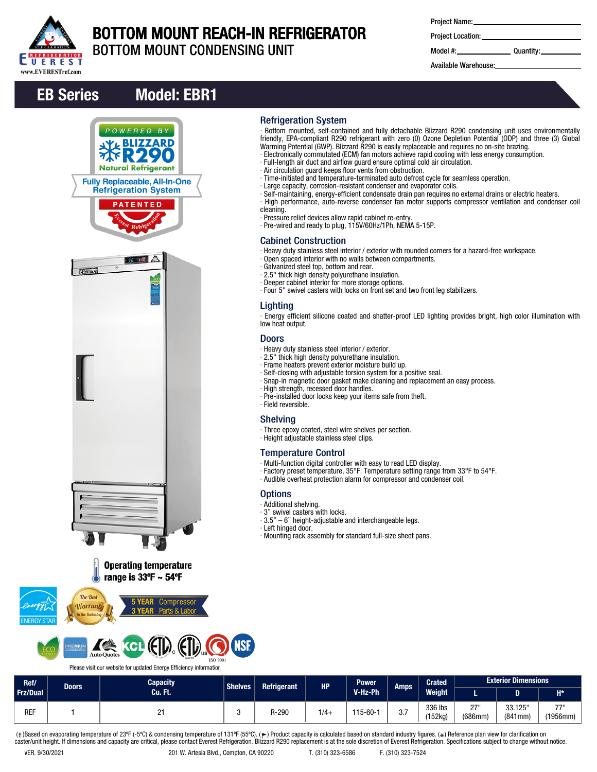

## BOTTOM MOUNT REACH-IN REFRIGERATOR

Refrigeration System

Cabinet Construction

∙ Galvanized steel top, bottom and rear. ∙ 2.5" thick high density polyurethane insulation. ∙ Deeper cabinet interior for more storage options.

∙ Heavy duty stainless steel interior / exterior. ∙ 2.5" thick high density polyurethane insulation. ∙ Frame heaters prevent exterior moisture build up. ∙ Self-closing with adjustable torsion system for a positive seal.

∙ High strength, recessed door handles.

∙ Height adjustable stainless steel clips.

Temperature Control

∙ Pre-installed door locks keep your items safe from theft.

∙ Multi-function digital controller with easy to read LED display.

∙ 3.5" – 6" height-adjustable and interchangeable legs.

∙ Mounting rack assembly for standard full-size sheet pans.

∙ Three epoxy coated, steel wire shelves per section.

cleaning.

Lighting

low heat output. Doors

∙ Field reversible. Shelving

**Options** ∙ Additional shelving. ∙ 3" swivel casters with locks.<br>∙ 3.5" – 6" height-adiustable a

∙ Left hinged door.

BOTTOM MOUNT CONDENSING UNIT

∙ Bottom mounted, self-contained and fully detachable Blizzard R290 condensing unit uses environmentally friendly, EPA-compliant R290 refrigerant with zero (0) Ozone Depletion Potential (ODP) and three (3) Global

∙ Self-maintaining, energy-efficient condensate drain pan requires no external drains or electric heaters. ∙ High performance, auto-reverse condenser fan motor supports compressor ventilation and condenser coil

∙ Energy efficient silicone coated and shatter-proof LED lighting provides bright, high color illumination with

∙ Heavy duty stainless steel interior / exterior with rounded corners for a hazard-free workspace.

Warming Potential (GWP). Blizzard R290 is easily replaceable and requires no on-site brazing. ∙ Electronically commutated (ECM) fan motors achieve rapid cooling with less energy consumption.

∙ Time-initiated and temperature-terminated auto defrost cycle for seamless operation.

∙ Full-length air duct and airflow guard ensure optimal cold air circulation.

∙ Large capacity, corrosion-resistant condenser and evaporator coils.

∙ Air circulation guard keeps floor vents from obstruction.

∙ Pressure relief devices allow rapid cabinet re-entry. ∙ Pre-wired and ready to plug, 115V/60Hz/1Ph, NEMA 5-15P.

∙ Open spaced interior with no walls between compartments.

∙ Four 5" swivel casters with locks on front set and two front leg stabilizers.

∙ Snap-in magnetic door gasket make cleaning and replacement an easy process.

∙ Factory preset temperature, 35°F. Temperature setting range from 33°F to 54°F. ∙ Audible overheat protection alarm for compressor and condenser coil.

Project Location:

Model #: Quantity:

Available Warehouse:

## EB Series Model: EBR1





Please visit our website for updated Energy Efficiency information

| Ref/<br>Frz/Dual | Doors <sup>1</sup> | <b>Capacity</b><br>Cu. Ft. | <b>Shelves</b> | <b>Refrigerant</b> | <b>HP</b> | <b>Power</b><br>V-Hz-Ph | Amps                 | <b>Crated</b><br><b>Weight</b> | <b>Exterior Dimensions</b> |                   |                  |
|------------------|--------------------|----------------------------|----------------|--------------------|-----------|-------------------------|----------------------|--------------------------------|----------------------------|-------------------|------------------|
|                  |                    |                            |                |                    |           |                         |                      |                                |                            |                   | $H^*$            |
| <b>REF</b>       |                    | . .                        |                | R-290              | $1/4 +$   | 115-60-1                | $\sim$ $\sim$<br>v.i | 336 lbs<br>(152kg)             | 071<br>_<br>(686mm)        | 33.125<br>(841mm) | 7711<br>(1956mm) |

(†)Based on evaporating temperature of 23ºF (-5ºC) & condensing temperature of 131ºF (55ºC). (ך) Product capacity is calculated based on standard industry figures. (\*) Reference plan view for clarification on<br>caster/unit h

**ISO 9001**